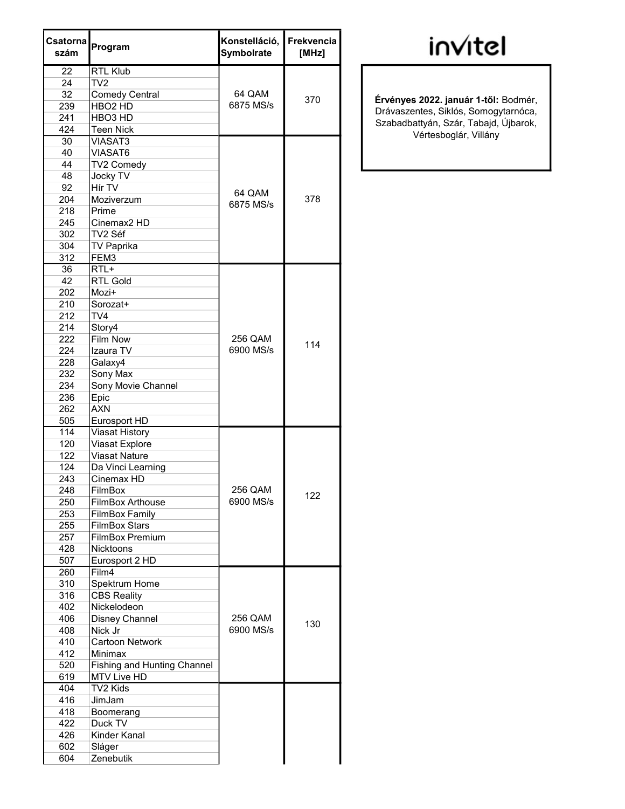| Csatorna<br>szám | Program                            | Konstelláció,<br>Symbolrate | <b>Frekvencia</b><br>[MHz] |
|------------------|------------------------------------|-----------------------------|----------------------------|
| 22               | <b>RTL Klub</b>                    |                             |                            |
| 24               | TV <sub>2</sub>                    |                             |                            |
| 32               | <b>Comedy Central</b>              | 64 QAM                      |                            |
| 239              | HBO <sub>2</sub> HD                | 6875 MS/s                   | 370                        |
| 241              | HBO <sub>3</sub> HD                |                             |                            |
| 424              | <b>Teen Nick</b>                   |                             |                            |
| 30               | <b>VIASAT3</b>                     |                             |                            |
| 40               | VIASAT6                            |                             |                            |
| 44               | TV2 Comedy                         |                             |                            |
| 48               | Jocky TV                           |                             |                            |
| 92               | Hír TV                             |                             |                            |
| 204              | Moziverzum                         | 64 QAM                      | 378                        |
| 218              | Prime                              | 6875 MS/s                   |                            |
| 245              | Cinemax <sub>2</sub> HD            |                             |                            |
| 302              | TV2 Séf                            |                             |                            |
| 304              | <b>TV Paprika</b>                  |                             |                            |
| 312              | FEM3                               |                             |                            |
| 36               | $RTL+$                             |                             |                            |
| 42               | <b>RTL Gold</b>                    |                             |                            |
| 202              | Mozi+                              |                             |                            |
| 210              | Sorozat+                           |                             |                            |
| 212              | TV4                                |                             |                            |
| 214              | Story4                             |                             |                            |
| 222              | <b>Film Now</b>                    | 256 QAM                     |                            |
| 224              | Izaura TV                          | 6900 MS/s                   | 114                        |
| 228              | Galaxy4                            |                             |                            |
| 232              | Sony Max                           |                             |                            |
| 234              | Sony Movie Channel                 |                             |                            |
| 236              | Epic                               |                             |                            |
| 262              | <b>AXN</b>                         |                             |                            |
| 505              | Eurosport HD                       |                             |                            |
| 114              | <b>Viasat History</b>              |                             |                            |
| 120              | Viasat Explore                     |                             |                            |
| 122              | <b>Viasat Nature</b>               |                             |                            |
| 124              | Da Vinci Learning                  |                             |                            |
| 243              | Cinemax HD                         |                             |                            |
| 248              | FilmBox                            | 256 QAM                     |                            |
| 250              | FilmBox Arthouse                   | 6900 MS/s                   | 122                        |
| 253              | <b>FilmBox Family</b>              |                             |                            |
| 255              | <b>FilmBox Stars</b>               |                             |                            |
| 257              | <b>FilmBox Premium</b>             |                             |                            |
| 428              | Nicktoons                          |                             |                            |
| 507              | Eurosport 2 HD                     |                             |                            |
| 260              | Film4                              |                             |                            |
| 310              | Spektrum Home                      |                             |                            |
| 316              | <b>CBS Reality</b>                 |                             |                            |
| 402              | Nickelodeon                        |                             |                            |
| 406              | Disney Channel                     | 256 QAM                     |                            |
| 408              | Nick Jr                            | 6900 MS/s                   | 130                        |
| 410              | <b>Cartoon Network</b>             |                             |                            |
| 412              | Minimax                            |                             |                            |
| 520              | <b>Fishing and Hunting Channel</b> |                             |                            |
| 619              | MTV Live HD                        |                             |                            |
| 404              | TV2 Kids                           |                             |                            |
| 416              | JimJam                             |                             |                            |
| 418              | Boomerang                          |                             |                            |
| 422              | Duck TV                            |                             |                            |
| 426              | Kinder Kanal                       |                             |                            |
| 602              | Sláger                             |                             |                            |
| 604              | Zenebutik                          |                             |                            |
|                  |                                    |                             |                            |

## invitel

6875 MS/s <sup>370</sup> Érvényes 2022. január 1-től: Bodmér, Drávaszentes, Siklós, Somogytarnóca, Szabadbattyán, Szár, Tabajd, Újbarok, Vértesboglár, Villány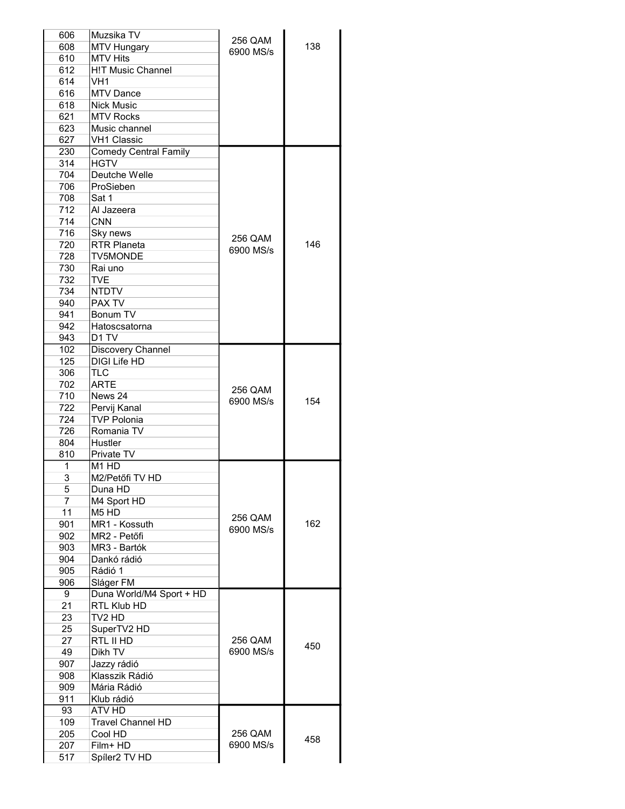| 606            | Muzsika TV                    | 256 QAM   |     |
|----------------|-------------------------------|-----------|-----|
| 608            | <b>MTV Hungary</b>            | 6900 MS/s | 138 |
| 610            | <b>MTV Hits</b>               |           |     |
| 612            | <b>H!T Music Channel</b>      |           |     |
| 614            | VH1                           |           |     |
| 616            | <b>MTV Dance</b>              |           |     |
| 618            | <b>Nick Music</b>             |           |     |
| 621            | <b>MTV Rocks</b>              |           |     |
| 623            | Music channel                 |           |     |
| 627            | <b>VH1 Classic</b>            |           |     |
| 230            | <b>Comedy Central Family</b>  |           |     |
| 314            | <b>HGTV</b>                   |           |     |
| 704            | Deutche Welle                 |           |     |
| 706            | ProSieben                     |           |     |
| 708            | Sat 1                         |           |     |
|                |                               |           |     |
| 712            | Al Jazeera                    |           |     |
| 714            | <b>CNN</b>                    |           |     |
| 716            | Sky news                      | 256 QAM   |     |
| 720            | <b>RTR Planeta</b>            | 6900 MS/s | 146 |
| 728            | <b>TV5MONDE</b>               |           |     |
| 730            | Rai uno                       |           |     |
| 732            | <b>TVE</b>                    |           |     |
| 734            | <b>NTDTV</b>                  |           |     |
| 940            | <b>PAX TV</b>                 |           |     |
| 941            | Bonum TV                      |           |     |
| 942            | Hatoscsatorna                 |           |     |
| 943            | D <sub>1</sub> TV             |           |     |
| 102            | Discovery Channel             |           |     |
| 125            | <b>DIGI Life HD</b>           |           |     |
| 306            | TLC                           |           |     |
|                |                               |           |     |
| 702            | <b>ARTE</b>                   | 256 QAM   |     |
| 710            | News 24                       | 6900 MS/s | 154 |
| 722            | Pervij Kanal                  |           |     |
| 724            | <b>TVP Polonia</b>            |           |     |
| 726            | Romania TV                    |           |     |
| 804            | Hustler                       |           |     |
| 810            | Private TV                    |           |     |
| 1              | M <sub>1</sub> HD             |           |     |
| 3              | M2/Petőfi TV HD               |           |     |
| 5              | Duna HD                       |           |     |
| $\overline{7}$ | M4 Sport HD                   |           |     |
| 11             | M <sub>5</sub> H <sub>D</sub> |           |     |
| 901            | MR1 - Kossuth                 | 256 QAM   | 162 |
| 902            | MR2 - Petőfi                  | 6900 MS/s |     |
| 903            | MR3 - Bartók                  |           |     |
| 904            | Dankó rádió                   |           |     |
| 905            | Rádió 1                       |           |     |
| 906            |                               |           |     |
|                | Sláger FM                     |           |     |
| 9              | Duna World/M4 Sport + HD      |           |     |
| 21             | RTL Klub HD                   |           |     |
| 23             | TV2 HD                        |           |     |
| 25             | SuperTV2 HD                   |           |     |
| 27             | RTL II HD                     | 256 QAM   | 450 |
| 49             | Dikh TV                       | 6900 MS/s |     |
| 907            | Jazzy rádió                   |           |     |
| 908            | Klasszik Rádió                |           |     |
| 909            | Mária Rádió                   |           |     |
| 911            | Klub rádió                    |           |     |
| 93             | ATV HD                        |           |     |
| 109            | <b>Travel Channel HD</b>      |           |     |
| 205            | Cool HD                       | 256 QAM   |     |
| 207            | Film+ HD                      | 6900 MS/s | 458 |
|                |                               |           |     |
| 517            | Spíler2 TV HD                 |           |     |